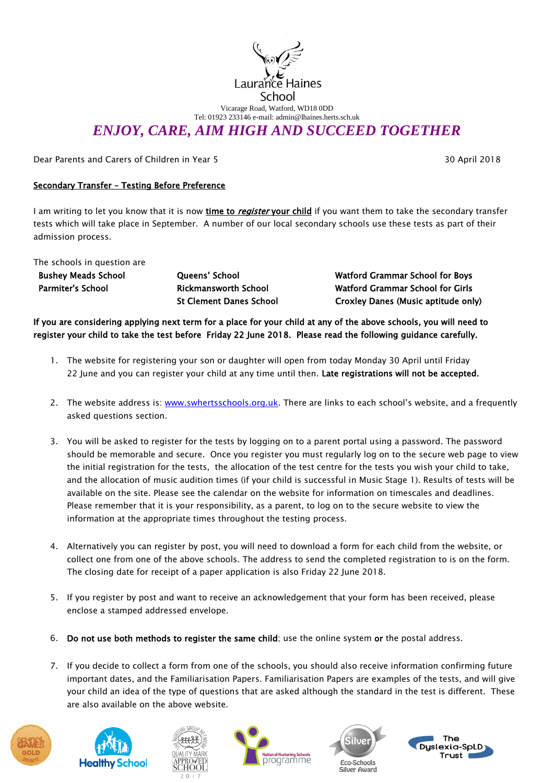

Vicarage Road, Watford, WD18 0DD Tel: 01923 233146 e-mail: admin@lhaines.herts.sch.uk

## *ENJOY, CARE, AIM HIGH AND SUCCEED TOGETHER*

Dear Parents and Carers of Children in Year 5 30 April 2018

## Secondary Transfer – Testing Before Preference

I am writing to let you know that it is now time to register your child if you want them to take the secondary transfer tests which will take place in September. A number of our local secondary schools use these tests as part of their admission process.

The schools in question are

Bushey Meads School Parmiter's School

Queens' School Rickmansworth School St Clement Danes School Watford Grammar School for Boys Watford Grammar School for Girls Croxley Danes (Music aptitude only)

If you are considering applying next term for a place for your child at any of the above schools, you will need to register your child to take the test before Friday 22 June 2018. Please read the following guidance carefully.

- 1. The website for registering your son or daughter will open from today Monday 30 April until Friday 22 June and you can register your child at any time until then. Late registrations will not be accepted.
- 2. The website address is: [www.swhertsschools.org.uk.](https://amxprd0310.outlook.com/owa/redir.aspx?C=oUnGPQtMfk60ZrIq5z8iv0o0dN0TAs8IXy9uUK3FeUX_MSaoH9QINgZzUP5t2jUvtTQkC_N0vyc.&URL=http%3a%2f%2fwww.swhertsschools.org.uk) There are links to each school's website, and a frequently asked questions section.
- 3. You will be asked to register for the tests by logging on to a parent portal using a password. The password should be memorable and secure. Once you register you must regularly log on to the secure web page to view the initial registration for the tests, the allocation of the test centre for the tests you wish your child to take, and the allocation of music audition times (if your child is successful in Music Stage 1). Results of tests will be available on the site. Please see the calendar on the website for information on timescales and deadlines. Please remember that it is your responsibility, as a parent, to log on to the secure website to view the information at the appropriate times throughout the testing process.
- 4. Alternatively you can register by post, you will need to download a form for each child from the website, or collect one from one of the above schools. The address to send the completed registration to is on the form. The closing date for receipt of a paper application is also Friday 22 June 2018.
- 5. If you register by post and want to receive an acknowledgement that your form has been received, please enclose a stamped addressed envelope.
- 6. Do not use both methods to register the same child; use the online system or the postal address.
- 7. If you decide to collect a form from one of the schools, you should also receive information confirming future important dates, and the Familiarisation Papers. Familiarisation Papers are examples of the tests, and will give your child an idea of the type of questions that are asked although the standard in the test is different. These are also available on the above website.